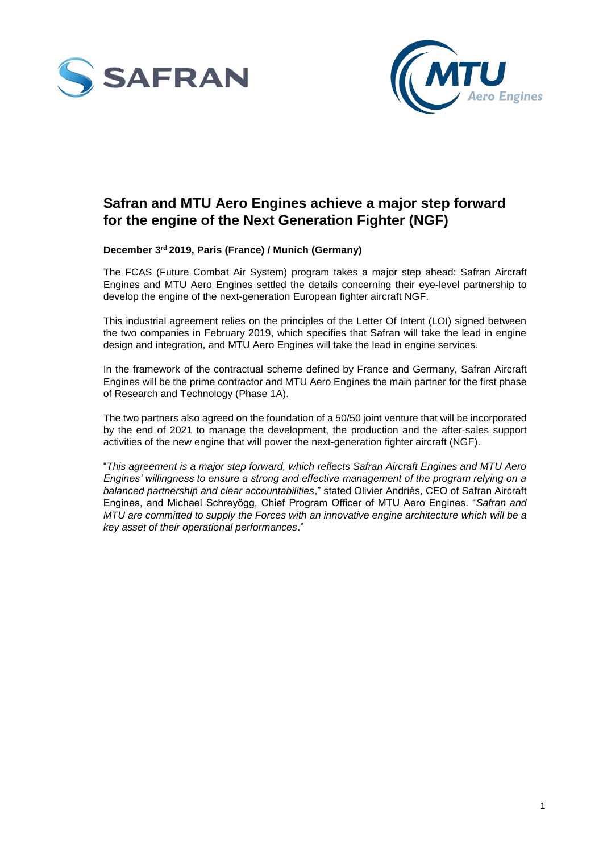



## **Safran and MTU Aero Engines achieve a major step forward for the engine of the Next Generation Fighter (NGF)**

## **December 3 rd 2019, Paris (France) / Munich (Germany)**

The FCAS (Future Combat Air System) program takes a major step ahead: Safran Aircraft Engines and MTU Aero Engines settled the details concerning their eye-level partnership to develop the engine of the next-generation European fighter aircraft NGF.

This industrial agreement relies on the principles of the Letter Of Intent (LOI) signed between the two companies in February 2019, which specifies that Safran will take the lead in engine design and integration, and MTU Aero Engines will take the lead in engine services.

In the framework of the contractual scheme defined by France and Germany, Safran Aircraft Engines will be the prime contractor and MTU Aero Engines the main partner for the first phase of Research and Technology (Phase 1A).

The two partners also agreed on the foundation of a 50/50 joint venture that will be incorporated by the end of 2021 to manage the development, the production and the after-sales support activities of the new engine that will power the next-generation fighter aircraft (NGF).

"*This agreement is a major step forward, which reflects Safran Aircraft Engines and MTU Aero Engines' willingness to ensure a strong and effective management of the program relying on a balanced partnership and clear accountabilities*," stated Olivier Andriès, CEO of Safran Aircraft Engines, and Michael Schreyögg, Chief Program Officer of MTU Aero Engines. "*Safran and MTU are committed to supply the Forces with an innovative engine architecture which will be a key asset of their operational performances*."